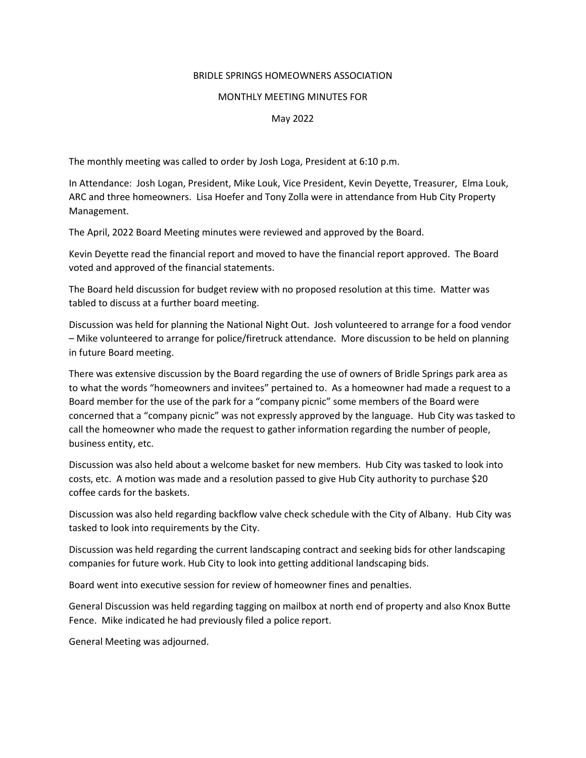## BRIDLE SPRINGS HOMEOWNERS ASSOCIATION

## MONTHLY MEETING MINUTES FOR

## May 2022

The monthly meeting was called to order by Josh Loga, President at 6:10 p.m.

In Attendance: Josh Logan, President, Mike Louk, Vice President, Kevin Deyette, Treasurer, Elma Louk, ARC and three homeowners. Lisa Hoefer and Tony Zolla were in attendance from Hub City Property Management.

The April, 2022 Board Meeting minutes were reviewed and approved by the Board.

Kevin Deyette read the financial report and moved to have the financial report approved. The Board voted and approved of the financial statements.

The Board held discussion for budget review with no proposed resolution at this time. Matter was tabled to discuss at a further board meeting.

Discussion was held for planning the National Night Out. Josh volunteered to arrange for a food vendor – Mike volunteered to arrange for police/firetruck attendance. More discussion to be held on planning in future Board meeting.

There was extensive discussion by the Board regarding the use of owners of Bridle Springs park area as to what the words "homeowners and invitees" pertained to. As a homeowner had made a request to a Board member for the use of the park for a "company picnic" some members of the Board were concerned that a "company picnic" was not expressly approved by the language. Hub City was tasked to call the homeowner who made the request to gather information regarding the number of people, business entity, etc.

Discussion was also held about a welcome basket for new members. Hub City was tasked to look into costs, etc. A motion was made and a resolution passed to give Hub City authority to purchase \$20 coffee cards for the baskets.

Discussion was also held regarding backflow valve check schedule with the City of Albany. Hub City was tasked to look into requirements by the City.

Discussion was held regarding the current landscaping contract and seeking bids for other landscaping companies for future work. Hub City to look into getting additional landscaping bids.

Board went into executive session for review of homeowner fines and penalties.

General Discussion was held regarding tagging on mailbox at north end of property and also Knox Butte Fence. Mike indicated he had previously filed a police report.

General Meeting was adjourned.